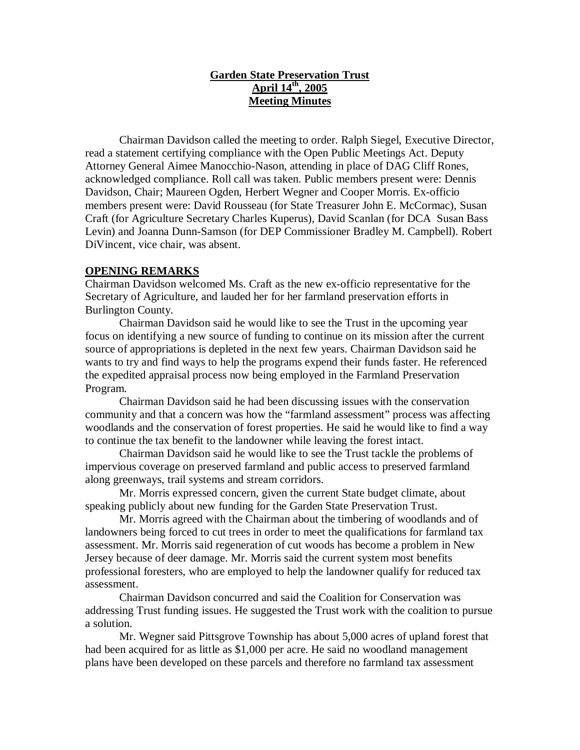## **Garden State Preservation Trust April 14th, 2005 Meeting Minutes**

Chairman Davidson called the meeting to order. Ralph Siegel, Executive Director, read a statement certifying compliance with the Open Public Meetings Act. Deputy Attorney General Aimee Manocchio-Nason, attending in place of DAG Cliff Rones, acknowledged compliance. Roll call was taken. Public members present were: Dennis Davidson, Chair; Maureen Ogden, Herbert Wegner and Cooper Morris. Ex-officio members present were: David Rousseau (for State Treasurer John E. McCormac), Susan Craft (for Agriculture Secretary Charles Kuperus), David Scanlan (for DCA Susan Bass Levin) and Joanna Dunn-Samson (for DEP Commissioner Bradley M. Campbell). Robert DiVincent, vice chair, was absent.

## **OPENING REMARKS**

Chairman Davidson welcomed Ms. Craft as the new ex-officio representative for the Secretary of Agriculture, and lauded her for her farmland preservation efforts in Burlington County.

Chairman Davidson said he would like to see the Trust in the upcoming year focus on identifying a new source of funding to continue on its mission after the current source of appropriations is depleted in the next few years. Chairman Davidson said he wants to try and find ways to help the programs expend their funds faster. He referenced the expedited appraisal process now being employed in the Farmland Preservation Program.

Chairman Davidson said he had been discussing issues with the conservation community and that a concern was how the "farmland assessment" process was affecting woodlands and the conservation of forest properties. He said he would like to find a way to continue the tax benefit to the landowner while leaving the forest intact.

Chairman Davidson said he would like to see the Trust tackle the problems of impervious coverage on preserved farmland and public access to preserved farmland along greenways, trail systems and stream corridors.

Mr. Morris expressed concern, given the current State budget climate, about speaking publicly about new funding for the Garden State Preservation Trust.

Mr. Morris agreed with the Chairman about the timbering of woodlands and of landowners being forced to cut trees in order to meet the qualifications for farmland tax assessment. Mr. Morris said regeneration of cut woods has become a problem in New Jersey because of deer damage. Mr. Morris said the current system most benefits professional foresters, who are employed to help the landowner qualify for reduced tax assessment.

Chairman Davidson concurred and said the Coalition for Conservation was addressing Trust funding issues. He suggested the Trust work with the coalition to pursue a solution.

Mr. Wegner said Pittsgrove Township has about 5,000 acres of upland forest that had been acquired for as little as \$1,000 per acre. He said no woodland management plans have been developed on these parcels and therefore no farmland tax assessment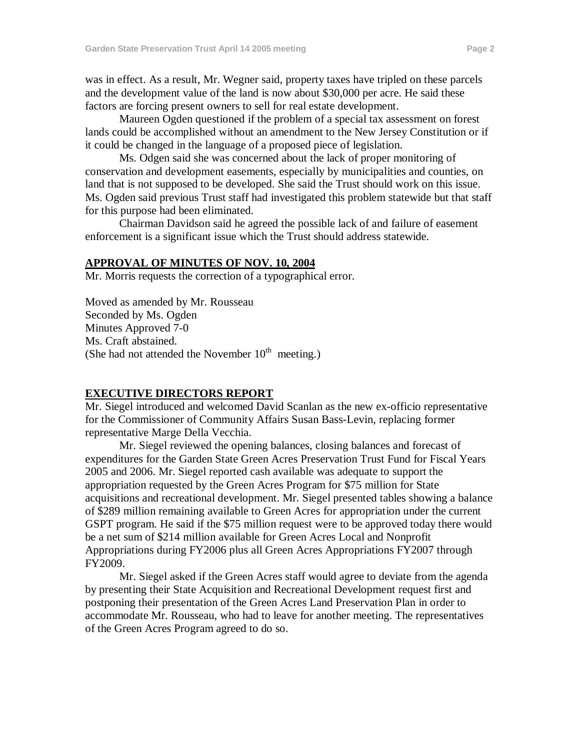was in effect. As a result, Mr. Wegner said, property taxes have tripled on these parcels and the development value of the land is now about \$30,000 per acre. He said these factors are forcing present owners to sell for real estate development.

Maureen Ogden questioned if the problem of a special tax assessment on forest lands could be accomplished without an amendment to the New Jersey Constitution or if it could be changed in the language of a proposed piece of legislation.

Ms. Odgen said she was concerned about the lack of proper monitoring of conservation and development easements, especially by municipalities and counties, on land that is not supposed to be developed. She said the Trust should work on this issue. Ms. Ogden said previous Trust staff had investigated this problem statewide but that staff for this purpose had been eliminated.

Chairman Davidson said he agreed the possible lack of and failure of easement enforcement is a significant issue which the Trust should address statewide.

### **APPROVAL OF MINUTES OF NOV. 10, 2004**

Mr. Morris requests the correction of a typographical error.

Moved as amended by Mr. Rousseau Seconded by Ms. Ogden Minutes Approved 7-0 Ms. Craft abstained. (She had not attended the November  $10<sup>th</sup>$  meeting.)

#### **EXECUTIVE DIRECTORS REPORT**

Mr. Siegel introduced and welcomed David Scanlan as the new ex-officio representative for the Commissioner of Community Affairs Susan Bass-Levin, replacing former representative Marge Della Vecchia.

Mr. Siegel reviewed the opening balances, closing balances and forecast of expenditures for the Garden State Green Acres Preservation Trust Fund for Fiscal Years 2005 and 2006. Mr. Siegel reported cash available was adequate to support the appropriation requested by the Green Acres Program for \$75 million for State acquisitions and recreational development. Mr. Siegel presented tables showing a balance of \$289 million remaining available to Green Acres for appropriation under the current GSPT program. He said if the \$75 million request were to be approved today there would be a net sum of \$214 million available for Green Acres Local and Nonprofit Appropriations during FY2006 plus all Green Acres Appropriations FY2007 through FY2009.

Mr. Siegel asked if the Green Acres staff would agree to deviate from the agenda by presenting their State Acquisition and Recreational Development request first and postponing their presentation of the Green Acres Land Preservation Plan in order to accommodate Mr. Rousseau, who had to leave for another meeting. The representatives of the Green Acres Program agreed to do so.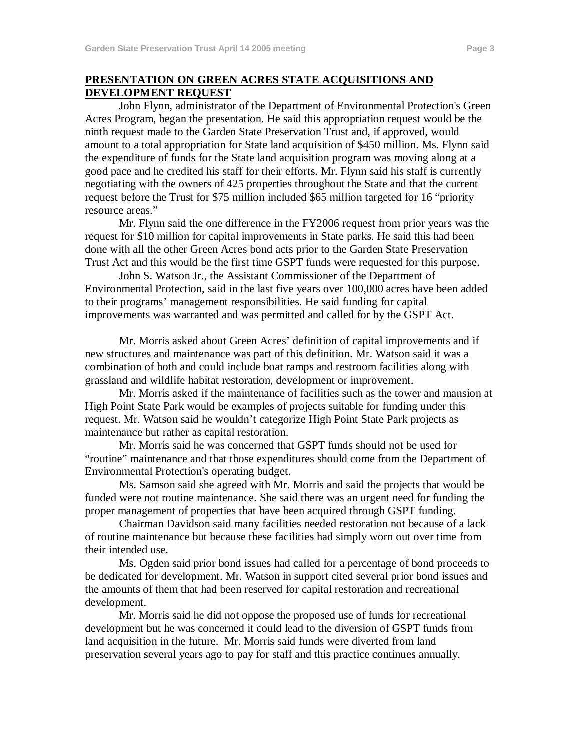### **PRESENTATION ON GREEN ACRES STATE ACQUISITIONS AND DEVELOPMENT REQUEST**

John Flynn, administrator of the Department of Environmental Protection's Green Acres Program, began the presentation. He said this appropriation request would be the ninth request made to the Garden State Preservation Trust and, if approved, would amount to a total appropriation for State land acquisition of \$450 million. Ms. Flynn said the expenditure of funds for the State land acquisition program was moving along at a good pace and he credited his staff for their efforts. Mr. Flynn said his staff is currently negotiating with the owners of 425 properties throughout the State and that the current request before the Trust for \$75 million included \$65 million targeted for 16 "priority resource areas."

Mr. Flynn said the one difference in the FY2006 request from prior years was the request for \$10 million for capital improvements in State parks. He said this had been done with all the other Green Acres bond acts prior to the Garden State Preservation Trust Act and this would be the first time GSPT funds were requested for this purpose.

John S. Watson Jr., the Assistant Commissioner of the Department of Environmental Protection, said in the last five years over 100,000 acres have been added to their programs' management responsibilities. He said funding for capital improvements was warranted and was permitted and called for by the GSPT Act.

Mr. Morris asked about Green Acres' definition of capital improvements and if new structures and maintenance was part of this definition. Mr. Watson said it was a combination of both and could include boat ramps and restroom facilities along with grassland and wildlife habitat restoration, development or improvement.

Mr. Morris asked if the maintenance of facilities such as the tower and mansion at High Point State Park would be examples of projects suitable for funding under this request. Mr. Watson said he wouldn't categorize High Point State Park projects as maintenance but rather as capital restoration.

Mr. Morris said he was concerned that GSPT funds should not be used for "routine" maintenance and that those expenditures should come from the Department of Environmental Protection's operating budget.

Ms. Samson said she agreed with Mr. Morris and said the projects that would be funded were not routine maintenance. She said there was an urgent need for funding the proper management of properties that have been acquired through GSPT funding.

Chairman Davidson said many facilities needed restoration not because of a lack of routine maintenance but because these facilities had simply worn out over time from their intended use.

Ms. Ogden said prior bond issues had called for a percentage of bond proceeds to be dedicated for development. Mr. Watson in support cited several prior bond issues and the amounts of them that had been reserved for capital restoration and recreational development.

Mr. Morris said he did not oppose the proposed use of funds for recreational development but he was concerned it could lead to the diversion of GSPT funds from land acquisition in the future. Mr. Morris said funds were diverted from land preservation several years ago to pay for staff and this practice continues annually.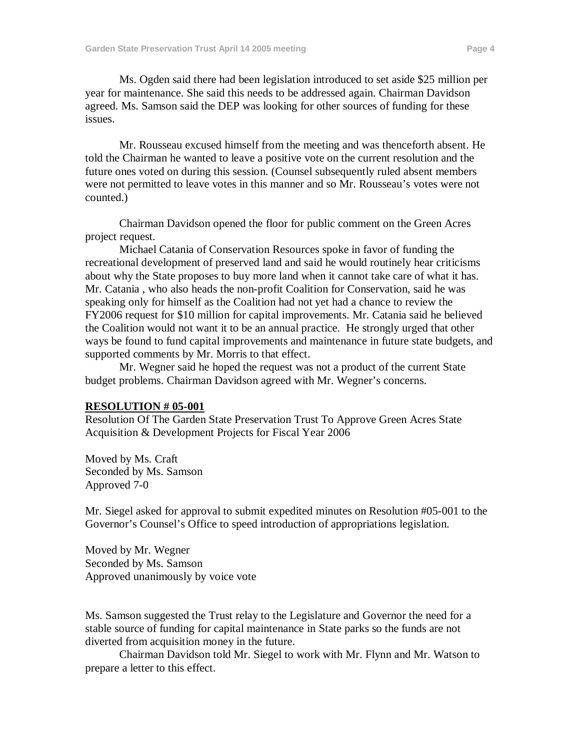Ms. Ogden said there had been legislation introduced to set aside \$25 million per year for maintenance. She said this needs to be addressed again. Chairman Davidson agreed. Ms. Samson said the DEP was looking for other sources of funding for these issues.

Mr. Rousseau excused himself from the meeting and was thenceforth absent. He told the Chairman he wanted to leave a positive vote on the current resolution and the future ones voted on during this session. (Counsel subsequently ruled absent members were not permitted to leave votes in this manner and so Mr. Rousseau's votes were not counted.)

Chairman Davidson opened the floor for public comment on the Green Acres project request.

Michael Catania of Conservation Resources spoke in favor of funding the recreational development of preserved land and said he would routinely hear criticisms about why the State proposes to buy more land when it cannot take care of what it has. Mr. Catania , who also heads the non-profit Coalition for Conservation, said he was speaking only for himself as the Coalition had not yet had a chance to review the FY2006 request for \$10 million for capital improvements. Mr. Catania said he believed the Coalition would not want it to be an annual practice. He strongly urged that other ways be found to fund capital improvements and maintenance in future state budgets, and supported comments by Mr. Morris to that effect.

Mr. Wegner said he hoped the request was not a product of the current State budget problems. Chairman Davidson agreed with Mr. Wegner's concerns.

### **RESOLUTION # 05-001**

Resolution Of The Garden State Preservation Trust To Approve Green Acres State Acquisition & Development Projects for Fiscal Year 2006

Moved by Ms. Craft Seconded by Ms. Samson Approved 7-0

Mr. Siegel asked for approval to submit expedited minutes on Resolution #05-001 to the Governor's Counsel's Office to speed introduction of appropriations legislation.

Moved by Mr. Wegner Seconded by Ms. Samson Approved unanimously by voice vote

Ms. Samson suggested the Trust relay to the Legislature and Governor the need for a stable source of funding for capital maintenance in State parks so the funds are not diverted from acquisition money in the future.

Chairman Davidson told Mr. Siegel to work with Mr. Flynn and Mr. Watson to prepare a letter to this effect.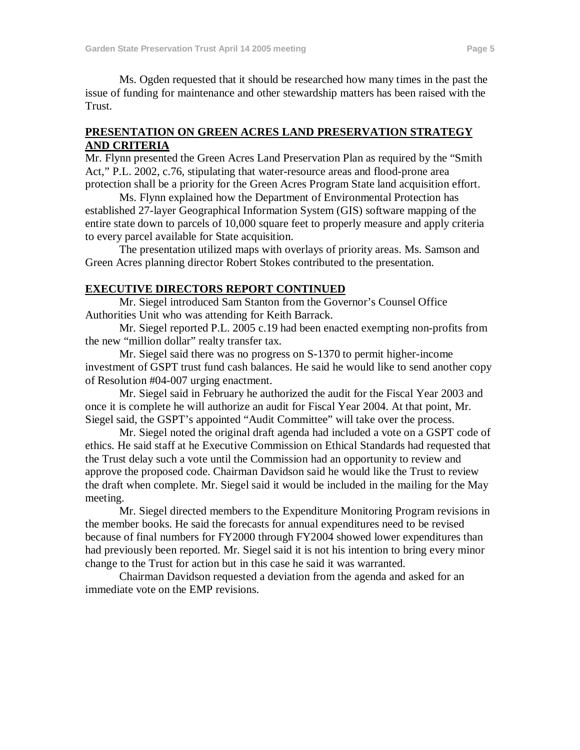Ms. Ogden requested that it should be researched how many times in the past the issue of funding for maintenance and other stewardship matters has been raised with the Trust.

### **PRESENTATION ON GREEN ACRES LAND PRESERVATION STRATEGY AND CRITERIA**

Mr. Flynn presented the Green Acres Land Preservation Plan as required by the "Smith Act," P.L. 2002, c.76, stipulating that water-resource areas and flood-prone area protection shall be a priority for the Green Acres Program State land acquisition effort.

Ms. Flynn explained how the Department of Environmental Protection has established 27-layer Geographical Information System (GIS) software mapping of the entire state down to parcels of 10,000 square feet to properly measure and apply criteria to every parcel available for State acquisition.

The presentation utilized maps with overlays of priority areas. Ms. Samson and Green Acres planning director Robert Stokes contributed to the presentation.

## **EXECUTIVE DIRECTORS REPORT CONTINUED**

Mr. Siegel introduced Sam Stanton from the Governor's Counsel Office Authorities Unit who was attending for Keith Barrack.

Mr. Siegel reported P.L. 2005 c.19 had been enacted exempting non-profits from the new "million dollar" realty transfer tax.

Mr. Siegel said there was no progress on S-1370 to permit higher-income investment of GSPT trust fund cash balances. He said he would like to send another copy of Resolution #04-007 urging enactment.

Mr. Siegel said in February he authorized the audit for the Fiscal Year 2003 and once it is complete he will authorize an audit for Fiscal Year 2004. At that point, Mr. Siegel said, the GSPT's appointed "Audit Committee" will take over the process.

Mr. Siegel noted the original draft agenda had included a vote on a GSPT code of ethics. He said staff at he Executive Commission on Ethical Standards had requested that the Trust delay such a vote until the Commission had an opportunity to review and approve the proposed code. Chairman Davidson said he would like the Trust to review the draft when complete. Mr. Siegel said it would be included in the mailing for the May meeting.

Mr. Siegel directed members to the Expenditure Monitoring Program revisions in the member books. He said the forecasts for annual expenditures need to be revised because of final numbers for FY2000 through FY2004 showed lower expenditures than had previously been reported. Mr. Siegel said it is not his intention to bring every minor change to the Trust for action but in this case he said it was warranted.

Chairman Davidson requested a deviation from the agenda and asked for an immediate vote on the EMP revisions.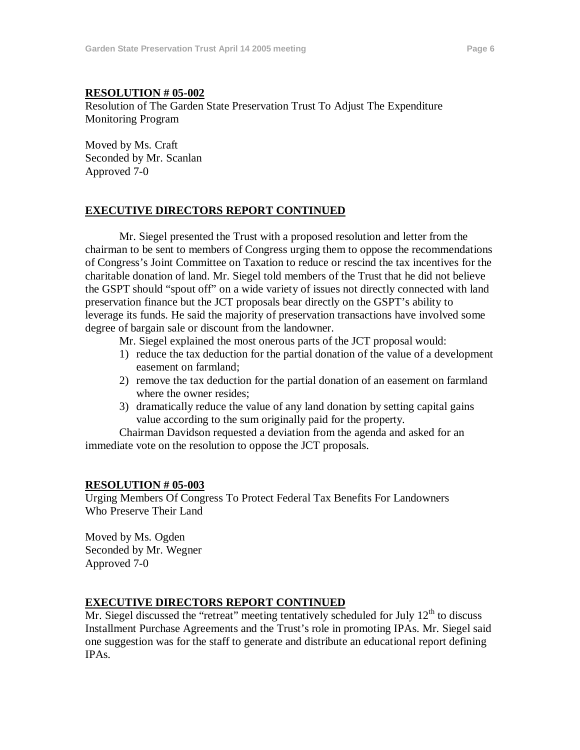#### **RESOLUTION # 05-002**

Resolution of The Garden State Preservation Trust To Adjust The Expenditure Monitoring Program

Moved by Ms. Craft Seconded by Mr. Scanlan Approved 7-0

## **EXECUTIVE DIRECTORS REPORT CONTINUED**

Mr. Siegel presented the Trust with a proposed resolution and letter from the chairman to be sent to members of Congress urging them to oppose the recommendations of Congress's Joint Committee on Taxation to reduce or rescind the tax incentives for the charitable donation of land. Mr. Siegel told members of the Trust that he did not believe the GSPT should "spout off" on a wide variety of issues not directly connected with land preservation finance but the JCT proposals bear directly on the GSPT's ability to leverage its funds. He said the majority of preservation transactions have involved some degree of bargain sale or discount from the landowner.

Mr. Siegel explained the most onerous parts of the JCT proposal would:

- 1) reduce the tax deduction for the partial donation of the value of a development easement on farmland;
- 2) remove the tax deduction for the partial donation of an easement on farmland where the owner resides;
- 3) dramatically reduce the value of any land donation by setting capital gains value according to the sum originally paid for the property.

Chairman Davidson requested a deviation from the agenda and asked for an immediate vote on the resolution to oppose the JCT proposals.

### **RESOLUTION # 05-003**

Urging Members Of Congress To Protect Federal Tax Benefits For Landowners Who Preserve Their Land

Moved by Ms. Ogden Seconded by Mr. Wegner Approved 7-0

## **EXECUTIVE DIRECTORS REPORT CONTINUED**

Mr. Siegel discussed the "retreat" meeting tentatively scheduled for July  $12<sup>th</sup>$  to discuss Installment Purchase Agreements and the Trust's role in promoting IPAs. Mr. Siegel said one suggestion was for the staff to generate and distribute an educational report defining IPAs.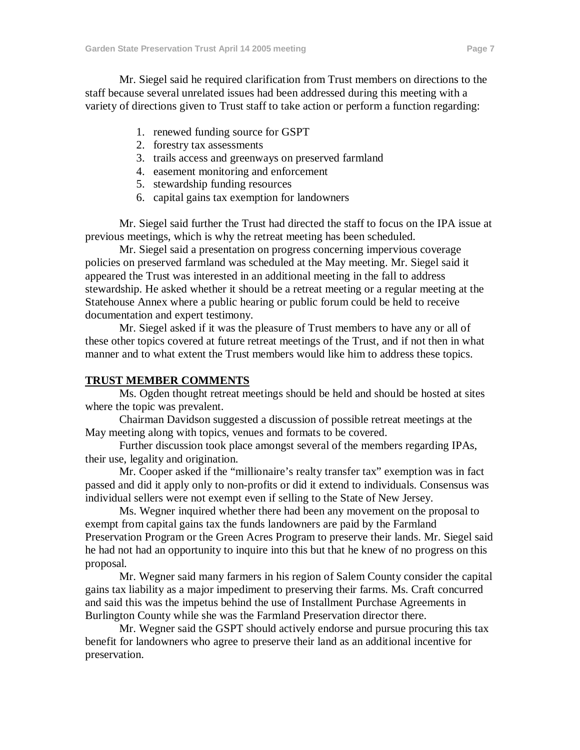Mr. Siegel said he required clarification from Trust members on directions to the staff because several unrelated issues had been addressed during this meeting with a variety of directions given to Trust staff to take action or perform a function regarding:

- 1. renewed funding source for GSPT
- 2. forestry tax assessments
- 3. trails access and greenways on preserved farmland
- 4. easement monitoring and enforcement
- 5. stewardship funding resources
- 6. capital gains tax exemption for landowners

Mr. Siegel said further the Trust had directed the staff to focus on the IPA issue at previous meetings, which is why the retreat meeting has been scheduled.

Mr. Siegel said a presentation on progress concerning impervious coverage policies on preserved farmland was scheduled at the May meeting. Mr. Siegel said it appeared the Trust was interested in an additional meeting in the fall to address stewardship. He asked whether it should be a retreat meeting or a regular meeting at the Statehouse Annex where a public hearing or public forum could be held to receive documentation and expert testimony.

Mr. Siegel asked if it was the pleasure of Trust members to have any or all of these other topics covered at future retreat meetings of the Trust, and if not then in what manner and to what extent the Trust members would like him to address these topics.

### **TRUST MEMBER COMMENTS**

Ms. Ogden thought retreat meetings should be held and should be hosted at sites where the topic was prevalent.

Chairman Davidson suggested a discussion of possible retreat meetings at the May meeting along with topics, venues and formats to be covered.

Further discussion took place amongst several of the members regarding IPAs, their use, legality and origination.

Mr. Cooper asked if the "millionaire's realty transfer tax" exemption was in fact passed and did it apply only to non-profits or did it extend to individuals. Consensus was individual sellers were not exempt even if selling to the State of New Jersey.

Ms. Wegner inquired whether there had been any movement on the proposal to exempt from capital gains tax the funds landowners are paid by the Farmland Preservation Program or the Green Acres Program to preserve their lands. Mr. Siegel said he had not had an opportunity to inquire into this but that he knew of no progress on this proposal.

Mr. Wegner said many farmers in his region of Salem County consider the capital gains tax liability as a major impediment to preserving their farms. Ms. Craft concurred and said this was the impetus behind the use of Installment Purchase Agreements in Burlington County while she was the Farmland Preservation director there.

Mr. Wegner said the GSPT should actively endorse and pursue procuring this tax benefit for landowners who agree to preserve their land as an additional incentive for preservation.